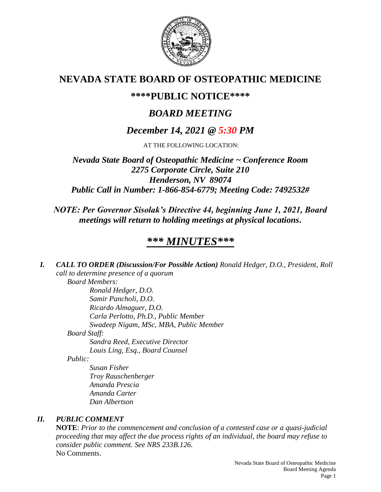

# **NEVADA STATE BOARD OF OSTEOPATHIC MEDICINE**

# **\*\*\*\*PUBLIC NOTICE\*\*\*\***

# *BOARD MEETING*

# *December 14, 2021 @ 5:30 PM*

AT THE FOLLOWING LOCATION:

*Nevada State Board of Osteopathic Medicine ~ Conference Room 2275 Corporate Circle, Suite 210 Henderson, NV 89074 Public Call in Number: 1-866-854-6779; Meeting Code: 7492532#*

## *NOTE: Per Governor Sisolak's Directive 44, beginning June 1, 2021, Board meetings will return to holding meetings at physical locations.*

# *\*\*\* MINUTES\*\*\**

*I. CALL TO ORDER (Discussion/For Possible Action) Ronald Hedger, D.O., President, Roll call to determine presence of a quorum Board Members: Ronald Hedger, D.O. Samir Pancholi, D.O. Ricardo Almaguer, D.O. Carla Perlotto, Ph.D., Public Member Swadeep Nigam, MSc, MBA, Public Member Board Staff: Sandra Reed, Executive Director Louis Ling, Esq., Board Counsel Public:*

*Susan Fisher Troy Rauschenberger Amanda Prescia Amanda Carter Dan Albertson*

## *II. PUBLIC COMMENT*

**NOTE**: *Prior to the commencement and conclusion of a contested case or a quasi-judicial proceeding that may affect the due process rights of an individual, the board may refuse to consider public comment. See NRS 233B.126.* No Comments.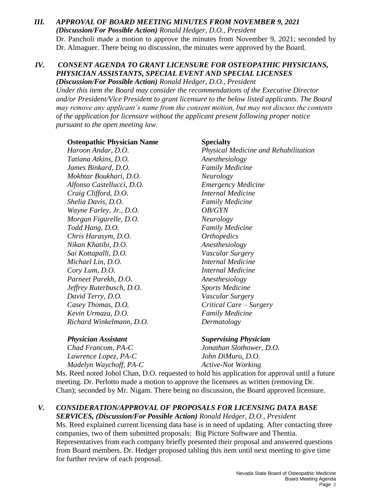### *III. APPROVAL OF BOARD MEETING MINUTES FROM NOVEMBER 9, 2021 (Discussion/For Possible Action) Ronald Hedger, D.O., President* Dr. Pancholi made a motion to approve the minutes from November 9, 2021; seconded by Dr. Almaguer. There being no discussion, the minutes were approved by the Board.

## *IV. CONSENT AGENDA TO GRANT LICENSURE FOR OSTEOPATHIC PHYSICIANS, PHYSICIAN ASSISTANTS, SPECIAL EVENT AND SPECIAL LICENSES*

*(Discussion/For Possible Action) Ronald Hedger, D.O., President Under this item the Board may consider the recommendations of the Executive Director and/or President/Vice President to grant licensure to the below listed applicants. The Board may remove any applicant's name from the consent motion, but may not discuss the contents of the application for licensure without the applicant present following proper notice pursuant to the open meeting law.*

**Osteopathic Physician Name Specialty**

*Tatiana Atkins, D.O. Anesthesiology James Binkard, D.O. Family Medicine Mokhtar Boukhari, D.O. Neurology Alfonso Castellucci, D.O. Emergency Medicine Craig Clifford, D.O. Internal Medicine Shelia Davis, D.O. Family Medicine Wayne Farley, Jr., D.O. OB/GYN Morgan Figurelle, D.O. Neurology Todd Hang, D.O. Family Medicine Chris Harasym, D.O. Orthopedics Nikan Khatibi, D.O. Anesthesiology Sai Kottapalli, D.O. Vascular Surgery Michael Lin, D.O. Internal Medicine Cory Lum, D.O. Internal Medicine Parneet Parekh, D.O. Anesthesiology Jeffrey Ruterbusch, D.O. Sports Medicine David Terry, D.O. Vascular Surgery Casey Thomas, D.O. Critical Care – Surgery Kevin Urmaza, D.O. Family Medicine Richard Winkelmann, D.O. Dermatology*

*Haroon Andar, D.O. Physical Medicine and Rehabilitation*

*Lawrence Lopez, PA-C John DiMuro, D.O. Madelyn Waychoff, PA-C* Active-Not Working

*Physician Assistant Supervising Physician*

*Chad Francom, PA-C Jonathan Slothower, D.O.*

Ms. Reed noted Johol Chan, D.O. requested to hold his application for approval until a future meeting. Dr. Perlotto made a motion to approve the licensees as written (removing Dr. Chan); seconded by Mr. Nigam. There being no discussion, the Board approved licensure.

## *V. CONSIDERATION/APPROVAL OF PROPOSALS FOR LICENSING DATA BASE*

*SERVICES, (Discussion/For Possible Action) Ronald Hedger, D.O., President* Ms. Reed explained current licensing data base is in need of updating. After contacting three companies, two of them submitted proposals: Big Picture Software and Thentia. Representatives from each company briefly presented their proposal and answered questions from Board members. Dr. Hedger proposed tabling this item until next meeting to give time for further review of each proposal.